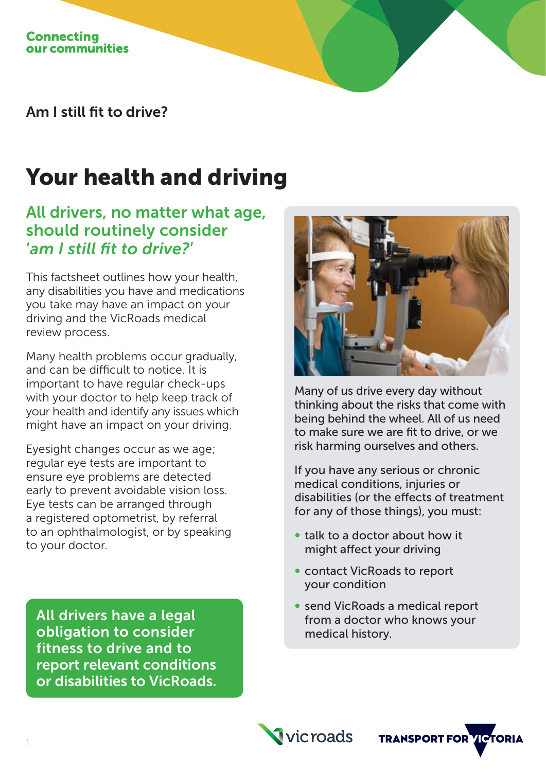Am I still fit to drive?

# Your health and driving

## All drivers, no matter what age, should routinely consider '*am I still fit to drive?*'

This factsheet outlines how your health, any disabilities you have and medications you take may have an impact on your driving and the VicRoads medical review process.

Many health problems occur gradually, and can be difficult to notice. It is important to have regular check-ups with your doctor to help keep track of your health and identify any issues which might have an impact on your driving.

Eyesight changes occur as we age; regular eye tests are important to ensure eye problems are detected early to prevent avoidable vision loss. Eye tests can be arranged through a registered optometrist, by referral to an ophthalmologist, or by speaking to your doctor.

All drivers have a legal obligation to consider fitness to drive and to report relevant conditions or disabilities to VicRoads.



Many of us drive every day without thinking about the risks that come with being behind the wheel. All of us need to make sure we are fit to drive, or we risk harming ourselves and others.

If you have any serious or chronic medical conditions, injuries or disabilities (or the effects of treatment for any of those things), you must:

- ∞ talk to a doctor about how it might affect your driving
- contact VicRoads to report your condition
- ∞ send VicRoads a medical report from a doctor who knows your medical history.



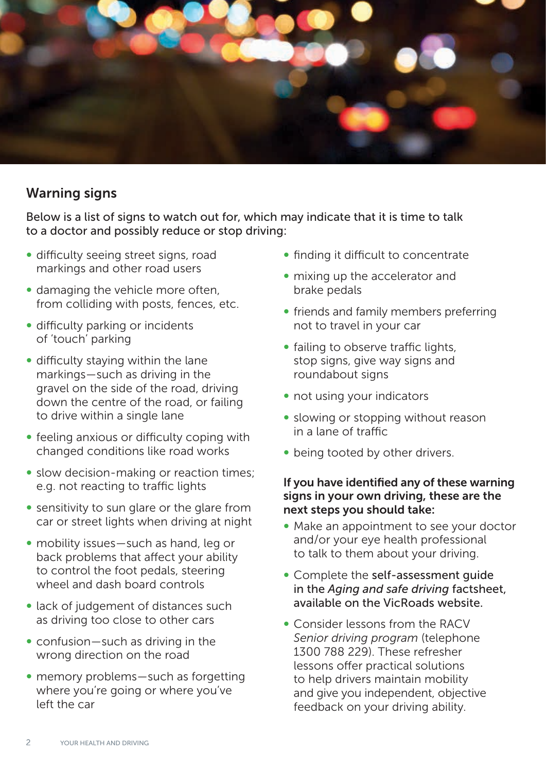

### Warning signs

Below is a list of signs to watch out for, which may indicate that it is time to talk to a doctor and possibly reduce or stop driving:

- ∞ difficulty seeing street signs, road markings and other road users
- damaging the vehicle more often, from colliding with posts, fences, etc.
- ∞ difficulty parking or incidents of 'touch' parking
- ∞ difficulty staying within the lane markings—such as driving in the gravel on the side of the road, driving down the centre of the road, or failing to drive within a single lane
- ∞ feeling anxious or difficulty coping with changed conditions like road works
- slow decision-making or reaction times; e.g. not reacting to traffic lights
- sensitivity to sun glare or the glare from car or street lights when driving at night
- ∞ mobility issues—such as hand, leg or back problems that affect your ability to control the foot pedals, steering wheel and dash board controls
- ∞ lack of judgement of distances such as driving too close to other cars
- confusion—such as driving in the wrong direction on the road
- memory problems—such as forgetting where you're going or where you've left the car
- ∞ finding it difficult to concentrate
- mixing up the accelerator and brake pedals
- friends and family members preferring not to travel in your car
- failing to observe traffic lights, stop signs, give way signs and roundabout signs
- not using your indicators
- slowing or stopping without reason in a lane of traffic
- being tooted by other drivers.

#### If you have identified any of these warning signs in your own driving, these are the next steps you should take:

- Make an appointment to see your doctor and/or your eye health professional to talk to them about your driving.
- Complete the self-assessment guide in the *Aging and safe driving* factsheet, available on the VicRoads website.
- Consider lessons from the RACV *Senior driving program* (telephone 1300 788 229). These refresher lessons offer practical solutions to help drivers maintain mobility and give you independent, objective feedback on your driving ability.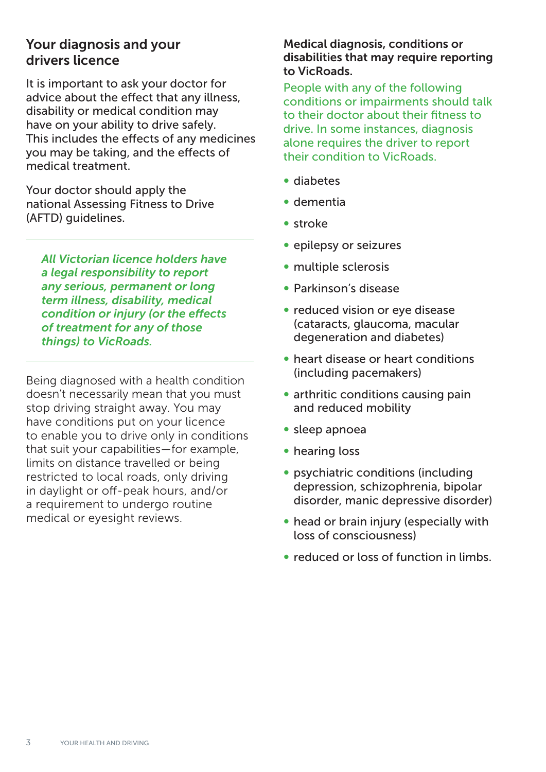#### Your diagnosis and your drivers licence

It is important to ask your doctor for advice about the effect that any illness, disability or medical condition may have on your ability to drive safely. This includes the effects of any medicines you may be taking, and the effects of medical treatment.

Your doctor should apply the national Assessing Fitness to Drive (AFTD) guidelines.

*All Victorian licence holders have a legal responsibility to report any serious, permanent or long term illness, disability, medical condition or injury (or the effects of treatment for any of those things) to VicRoads.*

Being diagnosed with a health condition doesn't necessarily mean that you must stop driving straight away. You may have conditions put on your licence to enable you to drive only in conditions that suit your capabilities—for example, limits on distance travelled or being restricted to local roads, only driving in daylight or off-peak hours, and/or a requirement to undergo routine medical or eyesight reviews.

#### Medical diagnosis, conditions or disabilities that may require reporting to VicRoads.

People with any of the following conditions or impairments should talk to their doctor about their fitness to drive. In some instances, diagnosis alone requires the driver to report their condition to VicRoads.

- ∞ diabetes
- ∞ dementia
- ∞ stroke
- epilepsy or seizures
- ∞ multiple sclerosis
- ∞ Parkinson's disease
- reduced vision or eye disease (cataracts, glaucoma, macular degeneration and diabetes)
- heart disease or heart conditions (including pacemakers)
- arthritic conditions causing pain and reduced mobility
- ∞ sleep apnoea
- hearing loss
- psychiatric conditions (including depression, schizophrenia, bipolar disorder, manic depressive disorder)
- ∞ head or brain injury (especially with loss of consciousness)
- reduced or loss of function in limbs.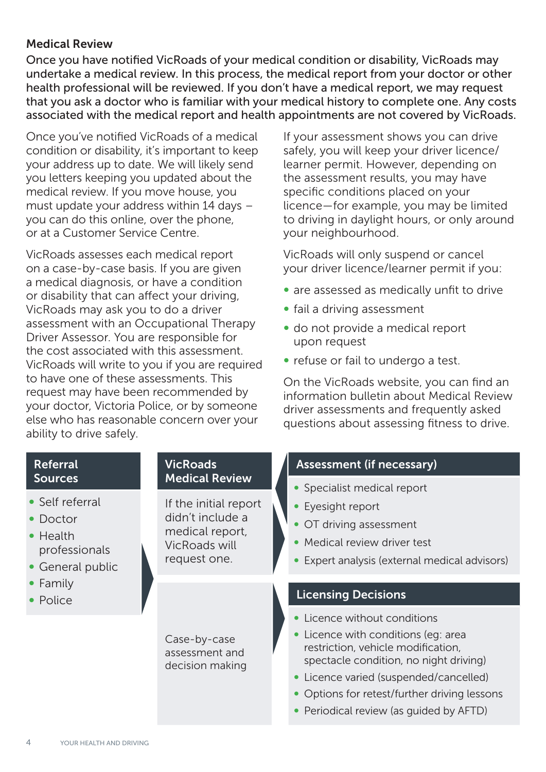#### Medical Review

Once you have notified VicRoads of your medical condition or disability, VicRoads may undertake a medical review. In this process, the medical report from your doctor or other health professional will be reviewed. If you don't have a medical report, we may request that you ask a doctor who is familiar with your medical history to complete one. Any costs associated with the medical report and health appointments are not covered by VicRoads.

Once you've notified VicRoads of a medical condition or disability, it's important to keep your address up to date. We will likely send you letters keeping you updated about the medical review. If you move house, you must update your address within 14 days – you can do this online, over the phone, or at a Customer Service Centre.

VicRoads assesses each medical report on a case-by-case basis. If you are given a medical diagnosis, or have a condition or disability that can affect your driving, VicRoads may ask you to do a driver assessment with an Occupational Therapy Driver Assessor. You are responsible for the cost associated with this assessment. VicRoads will write to you if you are required to have one of these assessments. This request may have been recommended by your doctor, Victoria Police, or by someone else who has reasonable concern over your ability to drive safely.

If your assessment shows you can drive safely, you will keep your driver licence/ learner permit. However, depending on the assessment results, you may have specific conditions placed on your licence—for example, you may be limited to driving in daylight hours, or only around your neighbourhood.

VicRoads will only suspend or cancel your driver licence/learner permit if you:

- are assessed as medically unfit to drive
- ∞ fail a driving assessment
- do not provide a medical report upon request
- refuse or fail to undergo a test.

On the VicRoads website, you can find an information bulletin about Medical Review driver assessments and frequently asked questions about assessing fitness to drive.

| <b>Referral</b>                                                                                                              | <b>VicRoads</b>                                                                                                               | <b>Assessment (if necessary)</b>                                                                    |                                                                                                                                                                                                                                                        |
|------------------------------------------------------------------------------------------------------------------------------|-------------------------------------------------------------------------------------------------------------------------------|-----------------------------------------------------------------------------------------------------|--------------------------------------------------------------------------------------------------------------------------------------------------------------------------------------------------------------------------------------------------------|
| <b>Sources</b><br>• Self referral<br>Doctor<br>$\bullet$ Health<br>professionals<br>• General public<br>• Family<br>• Police | <b>Medical Review</b><br>If the initial report<br>didn't include a<br>medical report,<br><b>VicRoads will</b><br>request one. | Specialist medical report<br>Eyesight report<br>OT driving assessment<br>Medical review driver test | Expert analysis (external medical advisors)                                                                                                                                                                                                            |
|                                                                                                                              | Case-by-case<br>assessment and<br>decision making                                                                             | <b>Licensing Decisions</b><br>Licence without conditions                                            | Licence with conditions (eq: area<br>restriction, vehicle modification,<br>spectacle condition, no night driving)<br>• Licence varied (suspended/cancelled)<br>• Options for retest/further driving lessons<br>• Periodical review (as guided by AFTD) |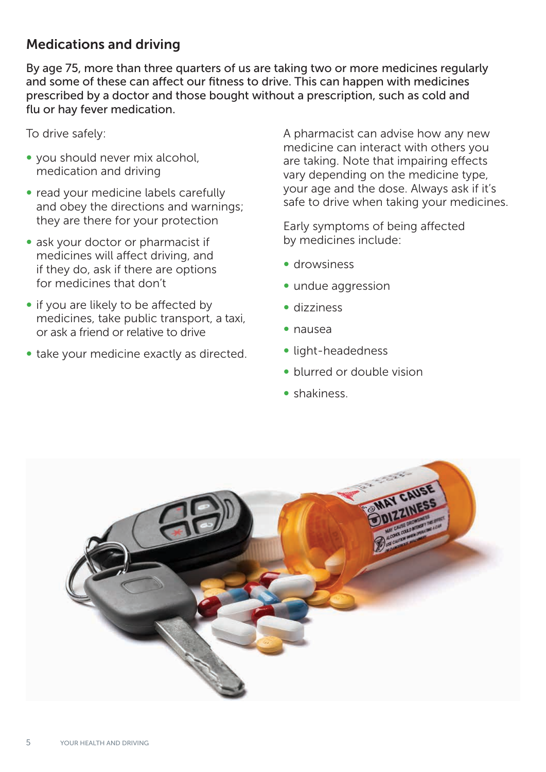### Medications and driving

By age 75, more than three quarters of us are taking two or more medicines regularly and some of these can affect our fitness to drive. This can happen with medicines prescribed by a doctor and those bought without a prescription, such as cold and flu or hay fever medication.

To drive safely:

- you should never mix alcohol, medication and driving
- read your medicine labels carefully and obey the directions and warnings; they are there for your protection
- ∞ ask your doctor or pharmacist if medicines will affect driving, and if they do, ask if there are options for medicines that don't
- ∞ if you are likely to be affected by medicines, take public transport, a taxi, or ask a friend or relative to drive
- take your medicine exactly as directed.

A pharmacist can advise how any new medicine can interact with others you are taking. Note that impairing effects vary depending on the medicine type, your age and the dose. Always ask if it's safe to drive when taking your medicines.

Early symptoms of being affected by medicines include:

- ∞ drowsiness
- undue aggression
- ∞ dizziness
- ∞ nausea
- ∞ light-headedness
- blurred or double vision
- ∞ shakiness.

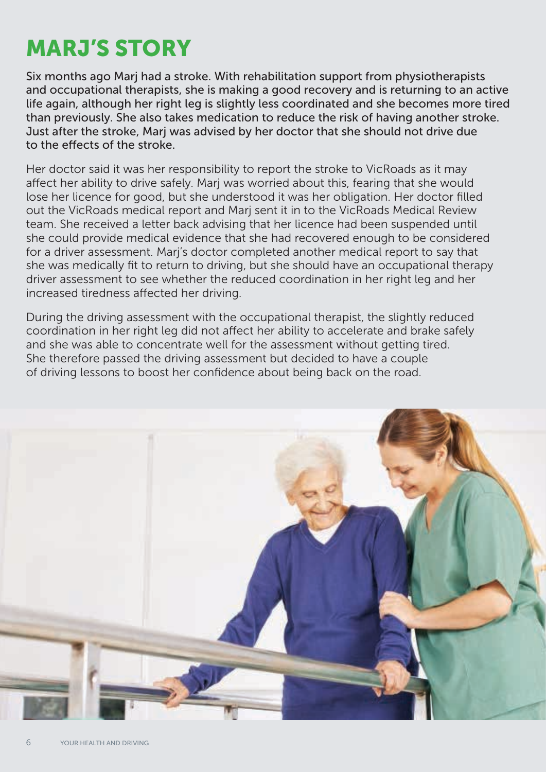# MARJ'S STORY

Six months ago Marj had a stroke. With rehabilitation support from physiotherapists and occupational therapists, she is making a good recovery and is returning to an active life again, although her right leg is slightly less coordinated and she becomes more tired than previously. She also takes medication to reduce the risk of having another stroke. Just after the stroke, Marj was advised by her doctor that she should not drive due to the effects of the stroke.

Her doctor said it was her responsibility to report the stroke to VicRoads as it may affect her ability to drive safely. Marj was worried about this, fearing that she would lose her licence for good, but she understood it was her obligation. Her doctor filled out the VicRoads medical report and Marj sent it in to the VicRoads Medical Review team. She received a letter back advising that her licence had been suspended until she could provide medical evidence that she had recovered enough to be considered for a driver assessment. Marj's doctor completed another medical report to say that she was medically fit to return to driving, but she should have an occupational therapy driver assessment to see whether the reduced coordination in her right leg and her increased tiredness affected her driving.

During the driving assessment with the occupational therapist, the slightly reduced coordination in her right leg did not affect her ability to accelerate and brake safely and she was able to concentrate well for the assessment without getting tired. She therefore passed the driving assessment but decided to have a couple of driving lessons to boost her confidence about being back on the road.